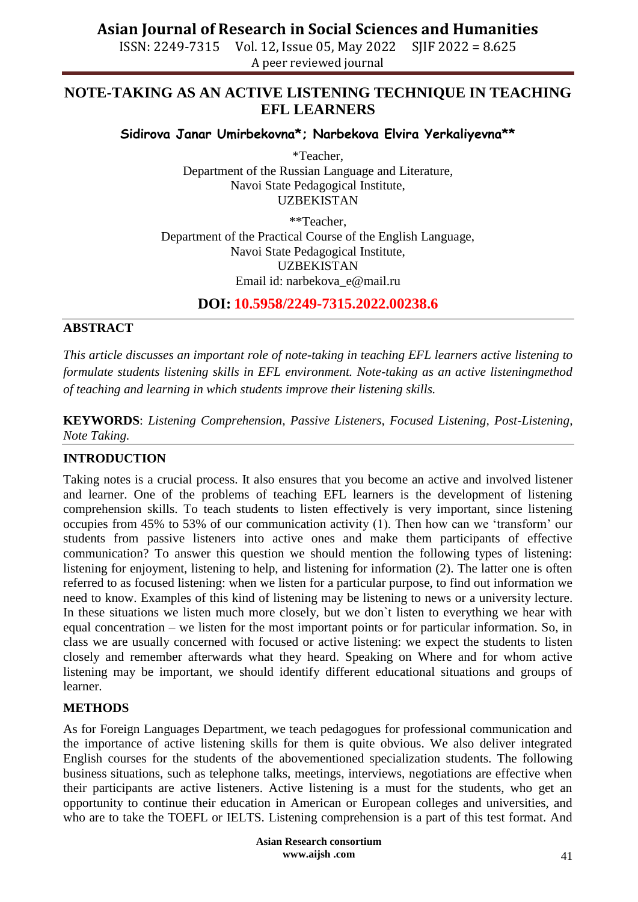# **Asian Journal of Research in Social Sciences and Humanities**

ISSN: 2249-7315 Vol. 12, Issue 05, May 2022 SJIF 2022 = 8.625 A peer reviewed journal

# **NOTE-TAKING AS AN ACTIVE LISTENING TECHNIQUE IN TEACHING EFL LEARNERS**

**Sidirova Janar Umirbekovna\*; Narbekova Elvira Yerkaliyevna\*\***

\*Teacher, Department of the Russian Language and Literature, Navoi State Pedagogical Institute, UZBEKISTAN

\*\*Teacher, Department of the Practical Course of the English Language, Navoi State Pedagogical Institute, UZBEKISTAN Email id: [narbekova\\_e@mail.ru](mailto:narbekova_e@mail.ru)

**DOI: 10.5958/2249-7315.2022.00238.6**

# **ABSTRACT**

*This article discusses an important role of note-taking in teaching EFL learners active listening to formulate students listening skills in EFL environment. Note-taking as an active listeningmethod of teaching and learning in which students improve their listening skills.*

**KEYWORDS**: *Listening Comprehension, Passive Listeners, Focused Listening, Post-Listening, Note Taking.* 

# **INTRODUCTION**

Taking notes is a crucial process. It also ensures that you become an active and involved listener and learner. One of the problems of teaching EFL learners is the development of listening comprehension skills. To teach students to listen effectively is very important, since listening occupies from 45% to 53% of our communication activity (1). Then how can we 'transform' our students from passive listeners into active ones and make them participants of effective communication? To answer this question we should mention the following types of listening: listening for enjoyment, listening to help, and listening for information (2). The latter one is often referred to as focused listening: when we listen for a particular purpose, to find out information we need to know. Examples of this kind of listening may be listening to news or a university lecture. In these situations we listen much more closely, but we don`t listen to everything we hear with equal concentration – we listen for the most important points or for particular information. So, in class we are usually concerned with focused or active listening: we expect the students to listen closely and remember afterwards what they heard. Speaking on Where and for whom active listening may be important, we should identify different educational situations and groups of learner.

# **METHODS**

As for Foreign Languages Department, we teach pedagogues for professional communication and the importance of active listening skills for them is quite obvious. We also deliver integrated English courses for the students of the abovementioned specialization students. The following business situations, such as telephone talks, meetings, interviews, negotiations are effective when their participants are active listeners. Active listening is a must for the students, who get an opportunity to continue their education in American or European colleges and universities, and who are to take the TOEFL or IELTS. Listening comprehension is a part of this test format. And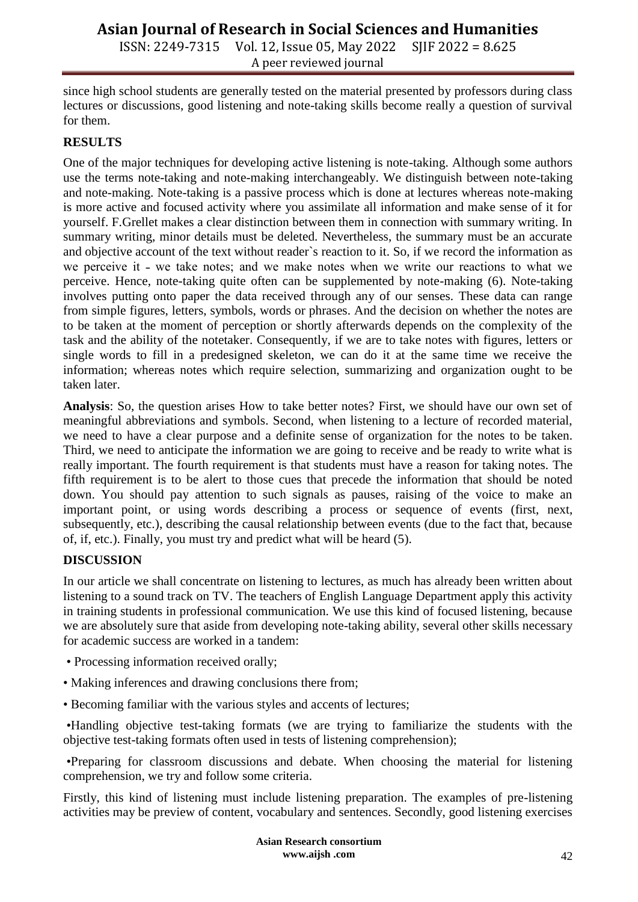# **Asian Journal of Research in Social Sciences and Humanities**

ISSN: 2249-7315 Vol. 12, Issue 05, May 2022 SJIF 2022 = 8.625 A peer reviewed journal

since high school students are generally tested on the material presented by professors during class lectures or discussions, good listening and note-taking skills become really a question of survival for them.

#### **RESULTS**

One of the major techniques for developing active listening is note-taking. Although some authors use the terms note-taking and note-making interchangeably. We distinguish between note-taking and note-making. Note-taking is a passive process which is done at lectures whereas note-making is more active and focused activity where you assimilate all information and make sense of it for yourself. F.Grellet makes a clear distinction between them in connection with summary writing. In summary writing, minor details must be deleted. Nevertheless, the summary must be an accurate and objective account of the text without reader`s reaction to it. So, if we record the information as we perceive it - we take notes; and we make notes when we write our reactions to what we perceive. Hence, note-taking quite often can be supplemented by note-making (6). Note-taking involves putting onto paper the data received through any of our senses. These data can range from simple figures, letters, symbols, words or phrases. And the decision on whether the notes are to be taken at the moment of perception or shortly afterwards depends on the complexity of the task and the ability of the notetaker. Consequently, if we are to take notes with figures, letters or single words to fill in a predesigned skeleton, we can do it at the same time we receive the information; whereas notes which require selection, summarizing and organization ought to be taken later.

**Analysis**: So, the question arises How to take better notes? First, we should have our own set of meaningful abbreviations and symbols. Second, when listening to a lecture of recorded material, we need to have a clear purpose and a definite sense of organization for the notes to be taken. Third, we need to anticipate the information we are going to receive and be ready to write what is really important. The fourth requirement is that students must have a reason for taking notes. The fifth requirement is to be alert to those cues that precede the information that should be noted down. You should pay attention to such signals as pauses, raising of the voice to make an important point, or using words describing a process or sequence of events (first, next, subsequently, etc.), describing the causal relationship between events (due to the fact that, because of, if, etc.). Finally, you must try and predict what will be heard (5).

# **DISCUSSION**

In our article we shall concentrate on listening to lectures, as much has already been written about listening to a sound track on TV. The teachers of English Language Department apply this activity in training students in professional communication. We use this kind of focused listening, because we are absolutely sure that aside from developing note-taking ability, several other skills necessary for academic success are worked in a tandem:

- Processing information received orally;
- Making inferences and drawing conclusions there from;
- Becoming familiar with the various styles and accents of lectures;

•Handling objective test-taking formats (we are trying to familiarize the students with the objective test-taking formats often used in tests of listening comprehension);

•Preparing for classroom discussions and debate. When choosing the material for listening comprehension, we try and follow some criteria.

Firstly, this kind of listening must include listening preparation. The examples of pre-listening activities may be preview of content, vocabulary and sentences. Secondly, good listening exercises